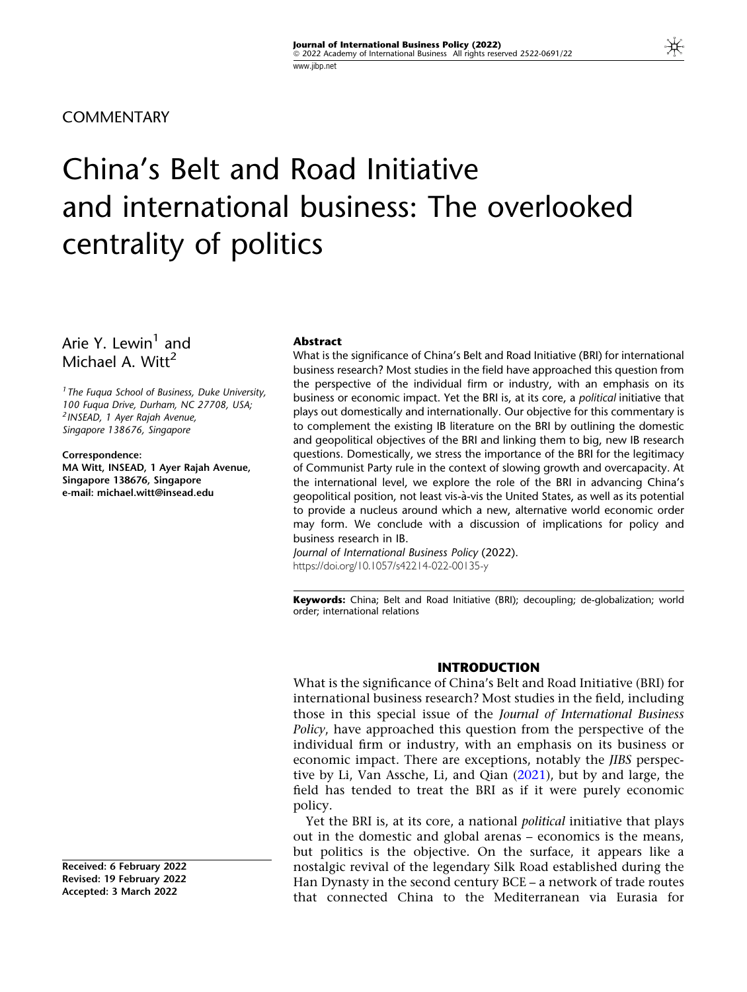**COMMENTARY** 

# China's Belt and Road Initiative and international business: The overlooked centrality of politics

Arie Y. Lewin $<sup>1</sup>$  and</sup> Michael A. Witt<sup>2</sup>

<sup>1</sup> The Fuqua School of Business, Duke University, 100 Fuqua Drive, Durham, NC 27708, USA; <sup>2</sup> INSEAD, 1 Ayer Rajah Avenue, Singapore 138676, Singapore

Correspondence: MA Witt, INSEAD, 1 Ayer Rajah Avenue, Singapore 138676, Singapore e-mail: michael.witt@insead.edu

#### Abstract

What is the significance of China's Belt and Road Initiative (BRI) for international business research? Most studies in the field have approached this question from the perspective of the individual firm or industry, with an emphasis on its business or economic impact. Yet the BRI is, at its core, a political initiative that plays out domestically and internationally. Our objective for this commentary is to complement the existing IB literature on the BRI by outlining the domestic and geopolitical objectives of the BRI and linking them to big, new IB research questions. Domestically, we stress the importance of the BRI for the legitimacy of Communist Party rule in the context of slowing growth and overcapacity. At the international level, we explore the role of the BRI in advancing China's geopolitical position, not least vis-a`-vis the United States, as well as its potential to provide a nucleus around which a new, alternative world economic order may form. We conclude with a discussion of implications for policy and business research in IB.

Journal of International Business Policy (2022). https://doi.org/10.1057/s42214-022-00135-y

Keywords: China; Belt and Road Initiative (BRI); decoupling; de-globalization; world order; international relations

#### INTRODUCTION

What is the significance of China's Belt and Road Initiative (BRI) for international business research? Most studies in the field, including those in this special issue of the Journal of International Business Policy, have approached this question from the perspective of the individual firm or industry, with an emphasis on its business or economic impact. There are exceptions, notably the JIBS perspective by Li, Van Assche, Li, and Qian ([2021\)](#page-8-0), but by and large, the field has tended to treat the BRI as if it were purely economic policy.

Yet the BRI is, at its core, a national political initiative that plays out in the domestic and global arenas – economics is the means, but politics is the objective. On the surface, it appears like a nostalgic revival of the legendary Silk Road established during the Han Dynasty in the second century BCE – a network of trade routes that connected China to the Mediterranean via Eurasia for

Received: 6 February 2022 Revised: 19 February 2022 Accepted: 3 March 2022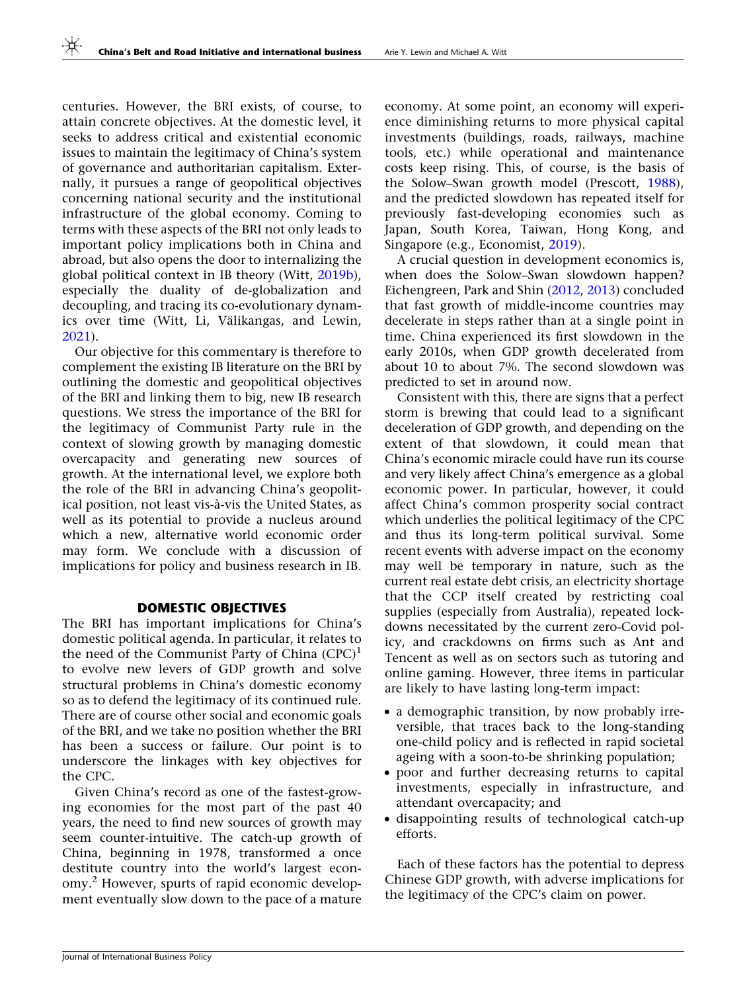centuries. However, the BRI exists, of course, to attain concrete objectives. At the domestic level, it seeks to address critical and existential economic issues to maintain the legitimacy of China's system of governance and authoritarian capitalism. Externally, it pursues a range of geopolitical objectives concerning national security and the institutional infrastructure of the global economy. Coming to terms with these aspects of the BRI not only leads to important policy implications both in China and abroad, but also opens the door to internalizing the global political context in IB theory (Witt, [2019b\)](#page-9-0), especially the duality of de-globalization and decoupling, and tracing its co-evolutionary dynamics over time (Witt, Li, Välikangas, and Lewin, [2021\)](#page-9-0).

Our objective for this commentary is therefore to complement the existing IB literature on the BRI by outlining the domestic and geopolitical objectives of the BRI and linking them to big, new IB research questions. We stress the importance of the BRI for the legitimacy of Communist Party rule in the context of slowing growth by managing domestic overcapacity and generating new sources of growth. At the international level, we explore both the role of the BRI in advancing China's geopolitical position, not least vis-à-vis the United States, as well as its potential to provide a nucleus around which a new, alternative world economic order may form. We conclude with a discussion of implications for policy and business research in IB.

# DOMESTIC OBJECTIVES

The BRI has important implications for China's domestic political agenda. In particular, it relates to the need of the Communist Party of China  $(CPC)^1$ to evolve new levers of GDP growth and solve structural problems in China's domestic economy so as to defend the legitimacy of its continued rule. There are of course other social and economic goals of the BRI, and we take no position whether the BRI has been a success or failure. Our point is to underscore the linkages with key objectives for the CPC.

Given China's record as one of the fastest-growing economies for the most part of the past 40 years, the need to find new sources of growth may seem counter-intuitive. The catch-up growth of China, beginning in 1978, transformed a once destitute country into the world's largest economy.<sup>2</sup> However, spurts of rapid economic development eventually slow down to the pace of a mature

economy. At some point, an economy will experience diminishing returns to more physical capital investments (buildings, roads, railways, machine tools, etc.) while operational and maintenance costs keep rising. This, of course, is the basis of the Solow–Swan growth model (Prescott, [1988](#page-8-0)), and the predicted slowdown has repeated itself for previously fast-developing economies such as Japan, South Korea, Taiwan, Hong Kong, and Singapore (e.g., Economist, [2019\)](#page-8-0).

A crucial question in development economics is, when does the Solow–Swan slowdown happen? Eichengreen, Park and Shin ([2012,](#page-8-0) [2013](#page-8-0)) concluded that fast growth of middle-income countries may decelerate in steps rather than at a single point in time. China experienced its first slowdown in the early 2010s, when GDP growth decelerated from about 10 to about 7%. The second slowdown was predicted to set in around now.

Consistent with this, there are signs that a perfect storm is brewing that could lead to a significant deceleration of GDP growth, and depending on the extent of that slowdown, it could mean that China's economic miracle could have run its course and very likely affect China's emergence as a global economic power. In particular, however, it could affect China's common prosperity social contract which underlies the political legitimacy of the CPC and thus its long-term political survival. Some recent events with adverse impact on the economy may well be temporary in nature, such as the current real estate debt crisis, an electricity shortage that the CCP itself created by restricting coal supplies (especially from Australia), repeated lockdowns necessitated by the current zero-Covid policy, and crackdowns on firms such as Ant and Tencent as well as on sectors such as tutoring and online gaming. However, three items in particular are likely to have lasting long-term impact:

- a demographic transition, by now probably irreversible, that traces back to the long-standing one-child policy and is reflected in rapid societal ageing with a soon-to-be shrinking population;
- poor and further decreasing returns to capital investments, especially in infrastructure, and attendant overcapacity; and
- disappointing results of technological catch-up efforts.

Each of these factors has the potential to depress Chinese GDP growth, with adverse implications for the legitimacy of the CPC's claim on power.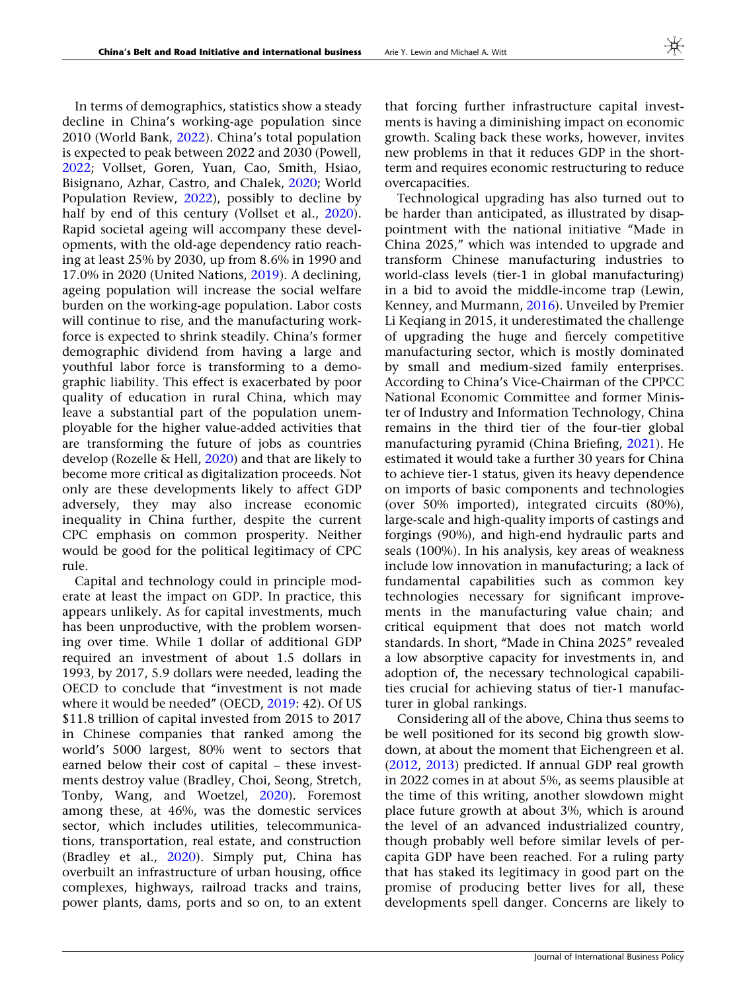In terms of demographics, statistics show a steady decline in China's working-age population since 2010 (World Bank, [2022\)](#page-9-0). China's total population is expected to peak between 2022 and 2030 (Powell, [2022;](#page-8-0) Vollset, Goren, Yuan, Cao, Smith, Hsiao, Bisignano, Azhar, Castro, and Chalek, [2020](#page-9-0); World Population Review, [2022\)](#page-9-0), possibly to decline by half by end of this century (Vollset et al., [2020\)](#page-9-0). Rapid societal ageing will accompany these developments, with the old-age dependency ratio reaching at least 25% by 2030, up from 8.6% in 1990 and 17.0% in 2020 (United Nations, [2019\)](#page-8-0). A declining, ageing population will increase the social welfare burden on the working-age population. Labor costs will continue to rise, and the manufacturing workforce is expected to shrink steadily. China's former demographic dividend from having a large and youthful labor force is transforming to a demographic liability. This effect is exacerbated by poor quality of education in rural China, which may leave a substantial part of the population unemployable for the higher value-added activities that are transforming the future of jobs as countries develop (Rozelle & Hell, [2020](#page-8-0)) and that are likely to become more critical as digitalization proceeds. Not only are these developments likely to affect GDP adversely, they may also increase economic inequality in China further, despite the current CPC emphasis on common prosperity. Neither would be good for the political legitimacy of CPC rule.

Capital and technology could in principle moderate at least the impact on GDP. In practice, this appears unlikely. As for capital investments, much has been unproductive, with the problem worsening over time. While 1 dollar of additional GDP required an investment of about 1.5 dollars in 1993, by 2017, 5.9 dollars were needed, leading the OECD to conclude that ''investment is not made where it would be needed" (OECD, [2019:](#page-8-0) 42). Of US \$11.8 trillion of capital invested from 2015 to 2017 in Chinese companies that ranked among the world's 5000 largest, 80% went to sectors that earned below their cost of capital – these investments destroy value (Bradley, Choi, Seong, Stretch, Tonby, Wang, and Woetzel, [2020\)](#page-8-0). Foremost among these, at 46%, was the domestic services sector, which includes utilities, telecommunications, transportation, real estate, and construction (Bradley et al., [2020](#page-8-0)). Simply put, China has overbuilt an infrastructure of urban housing, office complexes, highways, railroad tracks and trains, power plants, dams, ports and so on, to an extent

that forcing further infrastructure capital investments is having a diminishing impact on economic growth. Scaling back these works, however, invites new problems in that it reduces GDP in the shortterm and requires economic restructuring to reduce overcapacities.

Technological upgrading has also turned out to be harder than anticipated, as illustrated by disappointment with the national initiative ''Made in China 2025,'' which was intended to upgrade and transform Chinese manufacturing industries to world-class levels (tier-1 in global manufacturing) in a bid to avoid the middle-income trap (Lewin, Kenney, and Murmann, [2016\)](#page-8-0). Unveiled by Premier Li Keqiang in 2015, it underestimated the challenge of upgrading the huge and fiercely competitive manufacturing sector, which is mostly dominated by small and medium-sized family enterprises. According to China's Vice-Chairman of the CPPCC National Economic Committee and former Minister of Industry and Information Technology, China remains in the third tier of the four-tier global manufacturing pyramid (China Briefing, [2021\)](#page-8-0). He estimated it would take a further 30 years for China to achieve tier-1 status, given its heavy dependence on imports of basic components and technologies (over 50% imported), integrated circuits (80%), large-scale and high-quality imports of castings and forgings (90%), and high-end hydraulic parts and seals (100%). In his analysis, key areas of weakness include low innovation in manufacturing; a lack of fundamental capabilities such as common key technologies necessary for significant improvements in the manufacturing value chain; and critical equipment that does not match world standards. In short, ''Made in China 2025'' revealed a low absorptive capacity for investments in, and adoption of, the necessary technological capabilities crucial for achieving status of tier-1 manufacturer in global rankings.

Considering all of the above, China thus seems to be well positioned for its second big growth slowdown, at about the moment that Eichengreen et al. [\(2012](#page-8-0), [2013\)](#page-8-0) predicted. If annual GDP real growth in 2022 comes in at about 5%, as seems plausible at the time of this writing, another slowdown might place future growth at about 3%, which is around the level of an advanced industrialized country, though probably well before similar levels of percapita GDP have been reached. For a ruling party that has staked its legitimacy in good part on the promise of producing better lives for all, these developments spell danger. Concerns are likely to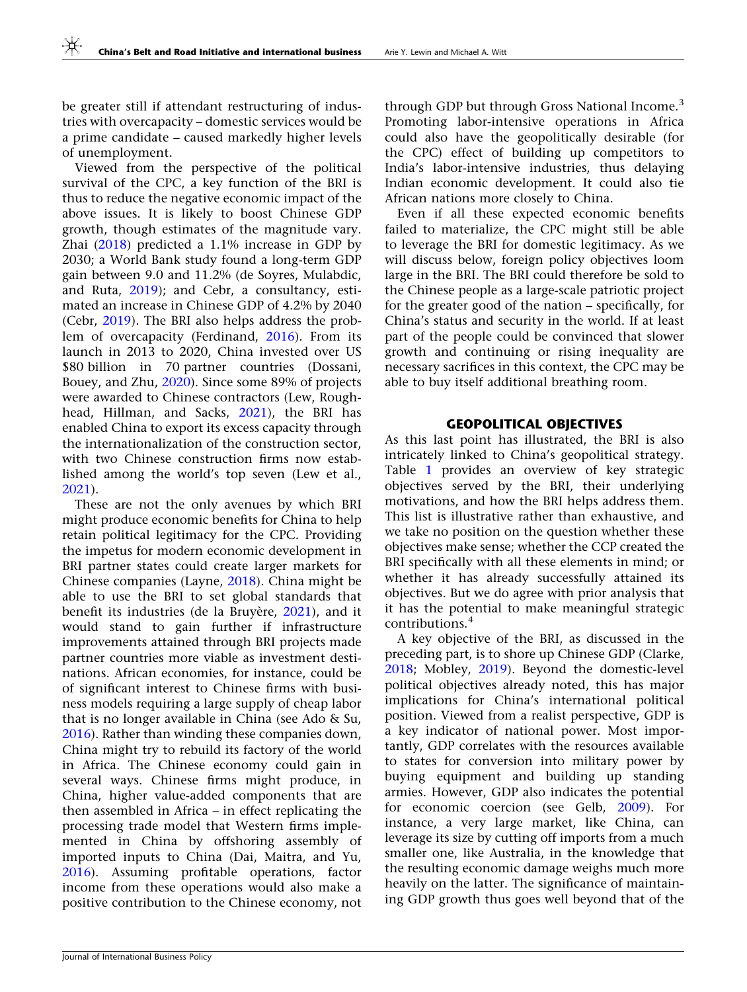be greater still if attendant restructuring of industries with overcapacity – domestic services would be a prime candidate – caused markedly higher levels of unemployment.

Viewed from the perspective of the political survival of the CPC, a key function of the BRI is thus to reduce the negative economic impact of the above issues. It is likely to boost Chinese GDP growth, though estimates of the magnitude vary. Zhai [\(2018](#page-9-0)) predicted a 1.1% increase in GDP by 2030; a World Bank study found a long-term GDP gain between 9.0 and 11.2% (de Soyres, Mulabdic, and Ruta, [2019](#page-8-0)); and Cebr, a consultancy, estimated an increase in Chinese GDP of 4.2% by 2040 (Cebr, [2019\)](#page-8-0). The BRI also helps address the problem of overcapacity (Ferdinand, [2016](#page-8-0)). From its launch in 2013 to 2020, China invested over US \$80 billion in 70 partner countries (Dossani, Bouey, and Zhu, [2020\)](#page-8-0). Since some 89% of projects were awarded to Chinese contractors (Lew, Roughhead, Hillman, and Sacks, [2021](#page-8-0)), the BRI has enabled China to export its excess capacity through the internationalization of the construction sector, with two Chinese construction firms now established among the world's top seven (Lew et al., [2021\)](#page-8-0).

These are not the only avenues by which BRI might produce economic benefits for China to help retain political legitimacy for the CPC. Providing the impetus for modern economic development in BRI partner states could create larger markets for Chinese companies (Layne, [2018](#page-8-0)). China might be able to use the BRI to set global standards that benefit its industries (de la Bruyère,  $2021$ ), and it would stand to gain further if infrastructure improvements attained through BRI projects made partner countries more viable as investment destinations. African economies, for instance, could be of significant interest to Chinese firms with business models requiring a large supply of cheap labor that is no longer available in China (see Ado & Su, [2016\)](#page-8-0). Rather than winding these companies down, China might try to rebuild its factory of the world in Africa. The Chinese economy could gain in several ways. Chinese firms might produce, in China, higher value-added components that are then assembled in Africa – in effect replicating the processing trade model that Western firms implemented in China by offshoring assembly of imported inputs to China (Dai, Maitra, and Yu, [2016\)](#page-8-0). Assuming profitable operations, factor income from these operations would also make a positive contribution to the Chinese economy, not

through GDP but through Gross National Income.<sup>3</sup> Promoting labor-intensive operations in Africa could also have the geopolitically desirable (for the CPC) effect of building up competitors to India's labor-intensive industries, thus delaying Indian economic development. It could also tie African nations more closely to China.

Even if all these expected economic benefits failed to materialize, the CPC might still be able to leverage the BRI for domestic legitimacy. As we will discuss below, foreign policy objectives loom large in the BRI. The BRI could therefore be sold to the Chinese people as a large-scale patriotic project for the greater good of the nation – specifically, for China's status and security in the world. If at least part of the people could be convinced that slower growth and continuing or rising inequality are necessary sacrifices in this context, the CPC may be able to buy itself additional breathing room.

# GEOPOLITICAL OBJECTIVES

As this last point has illustrated, the BRI is also intricately linked to China's geopolitical strategy. Table [1](#page-4-0) provides an overview of key strategic objectives served by the BRI, their underlying motivations, and how the BRI helps address them. This list is illustrative rather than exhaustive, and we take no position on the question whether these objectives make sense; whether the CCP created the BRI specifically with all these elements in mind; or whether it has already successfully attained its objectives. But we do agree with prior analysis that it has the potential to make meaningful strategic contributions.<sup>4</sup>

A key objective of the BRI, as discussed in the preceding part, is to shore up Chinese GDP (Clarke, [2018;](#page-8-0) Mobley, [2019\)](#page-8-0). Beyond the domestic-level political objectives already noted, this has major implications for China's international political position. Viewed from a realist perspective, GDP is a key indicator of national power. Most importantly, GDP correlates with the resources available to states for conversion into military power by buying equipment and building up standing armies. However, GDP also indicates the potential for economic coercion (see Gelb, [2009](#page-8-0)). For instance, a very large market, like China, can leverage its size by cutting off imports from a much smaller one, like Australia, in the knowledge that the resulting economic damage weighs much more heavily on the latter. The significance of maintaining GDP growth thus goes well beyond that of the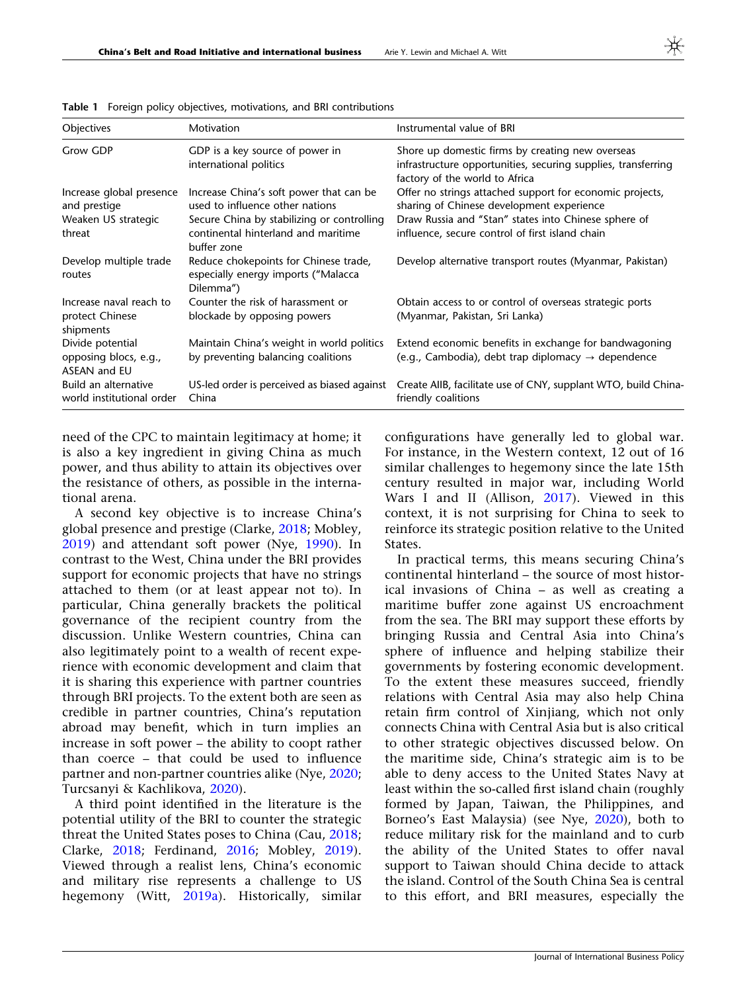| Objectives                                                       | Motivation                                                                                                               | Instrumental value of BRI                                                                                                                                     |
|------------------------------------------------------------------|--------------------------------------------------------------------------------------------------------------------------|---------------------------------------------------------------------------------------------------------------------------------------------------------------|
| Grow GDP                                                         | GDP is a key source of power in<br>international politics                                                                | Shore up domestic firms by creating new overseas<br>infrastructure opportunities, securing supplies, transferring<br>factory of the world to Africa           |
| Increase global presence<br>and prestige<br>Weaken US strategic  | Increase China's soft power that can be<br>used to influence other nations<br>Secure China by stabilizing or controlling | Offer no strings attached support for economic projects,<br>sharing of Chinese development experience<br>Draw Russia and "Stan" states into Chinese sphere of |
| threat                                                           | continental hinterland and maritime<br>buffer zone                                                                       | influence, secure control of first island chain                                                                                                               |
| Develop multiple trade<br>routes                                 | Reduce chokepoints for Chinese trade,<br>especially energy imports ("Malacca<br>Dilemma")                                | Develop alternative transport routes (Myanmar, Pakistan)                                                                                                      |
| Increase naval reach to<br>protect Chinese<br>shipments          | Counter the risk of harassment or<br>blockade by opposing powers                                                         | Obtain access to or control of overseas strategic ports<br>(Myanmar, Pakistan, Sri Lanka)                                                                     |
| Divide potential<br>opposing blocs, e.g.,<br><b>ASEAN and EU</b> | Maintain China's weight in world politics<br>by preventing balancing coalitions                                          | Extend economic benefits in exchange for bandwagoning<br>(e.g., Cambodia), debt trap diplomacy $\rightarrow$ dependence                                       |
| Build an alternative<br>world institutional order                | US-led order is perceived as biased against<br>China                                                                     | Create AIIB, facilitate use of CNY, supplant WTO, build China-<br>friendly coalitions                                                                         |

<span id="page-4-0"></span>Table 1 Foreign policy objectives, motivations, and BRI contributions

need of the CPC to maintain legitimacy at home; it is also a key ingredient in giving China as much power, and thus ability to attain its objectives over the resistance of others, as possible in the international arena.

A second key objective is to increase China's global presence and prestige (Clarke, [2018;](#page-8-0) Mobley, [2019\)](#page-8-0) and attendant soft power (Nye, [1990](#page-8-0)). In contrast to the West, China under the BRI provides support for economic projects that have no strings attached to them (or at least appear not to). In particular, China generally brackets the political governance of the recipient country from the discussion. Unlike Western countries, China can also legitimately point to a wealth of recent experience with economic development and claim that it is sharing this experience with partner countries through BRI projects. To the extent both are seen as credible in partner countries, China's reputation abroad may benefit, which in turn implies an increase in soft power – the ability to coopt rather than coerce – that could be used to influence partner and non-partner countries alike (Nye, [2020;](#page-8-0) Turcsanyi & Kachlikova, [2020](#page-8-0)).

A third point identified in the literature is the potential utility of the BRI to counter the strategic threat the United States poses to China (Cau, [2018;](#page-8-0) Clarke, [2018;](#page-8-0) Ferdinand, [2016;](#page-8-0) Mobley, [2019\)](#page-8-0). Viewed through a realist lens, China's economic and military rise represents a challenge to US hegemony (Witt, [2019a](#page-9-0)). Historically, similar

configurations have generally led to global war. For instance, in the Western context, 12 out of 16 similar challenges to hegemony since the late 15th century resulted in major war, including World Wars I and II (Allison, [2017](#page-8-0)). Viewed in this context, it is not surprising for China to seek to reinforce its strategic position relative to the United States.

In practical terms, this means securing China's continental hinterland – the source of most historical invasions of China – as well as creating a maritime buffer zone against US encroachment from the sea. The BRI may support these efforts by bringing Russia and Central Asia into China's sphere of influence and helping stabilize their governments by fostering economic development. To the extent these measures succeed, friendly relations with Central Asia may also help China retain firm control of Xinjiang, which not only connects China with Central Asia but is also critical to other strategic objectives discussed below. On the maritime side, China's strategic aim is to be able to deny access to the United States Navy at least within the so-called first island chain (roughly formed by Japan, Taiwan, the Philippines, and Borneo's East Malaysia) (see Nye, [2020](#page-8-0)), both to reduce military risk for the mainland and to curb the ability of the United States to offer naval support to Taiwan should China decide to attack the island. Control of the South China Sea is central to this effort, and BRI measures, especially the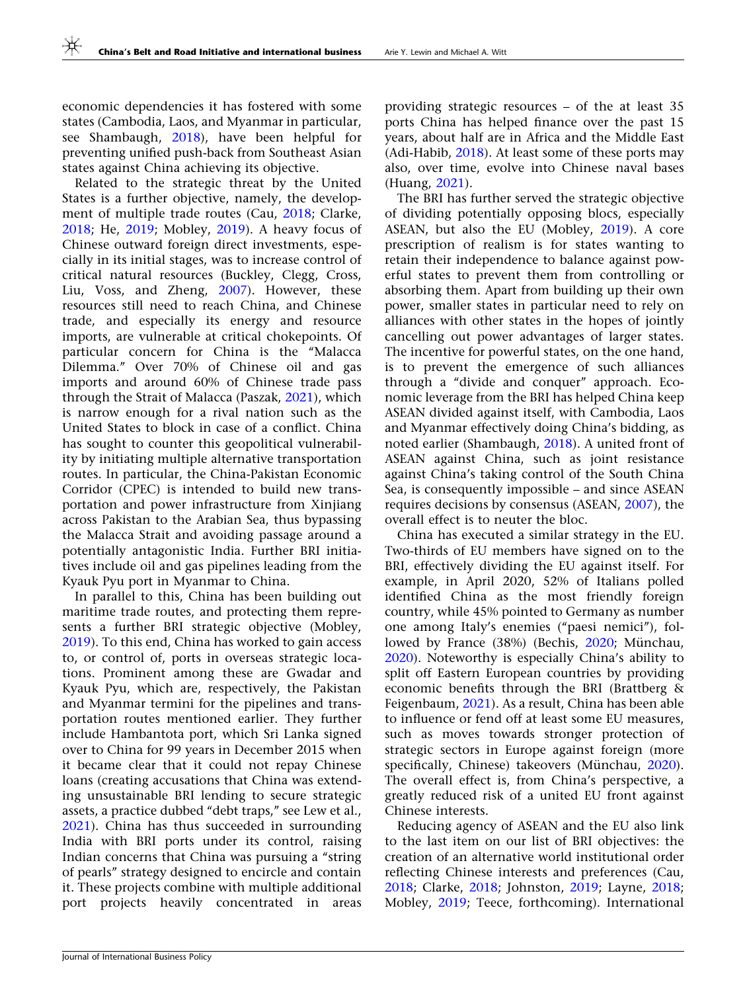economic dependencies it has fostered with some states (Cambodia, Laos, and Myanmar in particular, see Shambaugh, [2018\)](#page-8-0), have been helpful for preventing unified push-back from Southeast Asian states against China achieving its objective.

Related to the strategic threat by the United States is a further objective, namely, the development of multiple trade routes (Cau, [2018;](#page-8-0) Clarke, [2018;](#page-8-0) He, [2019](#page-8-0); Mobley, [2019\)](#page-8-0). A heavy focus of Chinese outward foreign direct investments, especially in its initial stages, was to increase control of critical natural resources (Buckley, Clegg, Cross, Liu, Voss, and Zheng, [2007](#page-8-0)). However, these resources still need to reach China, and Chinese trade, and especially its energy and resource imports, are vulnerable at critical chokepoints. Of particular concern for China is the ''Malacca Dilemma.'' Over 70% of Chinese oil and gas imports and around 60% of Chinese trade pass through the Strait of Malacca (Paszak, [2021](#page-8-0)), which is narrow enough for a rival nation such as the United States to block in case of a conflict. China has sought to counter this geopolitical vulnerability by initiating multiple alternative transportation routes. In particular, the China-Pakistan Economic Corridor (CPEC) is intended to build new transportation and power infrastructure from Xinjiang across Pakistan to the Arabian Sea, thus bypassing the Malacca Strait and avoiding passage around a potentially antagonistic India. Further BRI initiatives include oil and gas pipelines leading from the Kyauk Pyu port in Myanmar to China.

In parallel to this, China has been building out maritime trade routes, and protecting them represents a further BRI strategic objective (Mobley, [2019\)](#page-8-0). To this end, China has worked to gain access to, or control of, ports in overseas strategic locations. Prominent among these are Gwadar and Kyauk Pyu, which are, respectively, the Pakistan and Myanmar termini for the pipelines and transportation routes mentioned earlier. They further include Hambantota port, which Sri Lanka signed over to China for 99 years in December 2015 when it became clear that it could not repay Chinese loans (creating accusations that China was extending unsustainable BRI lending to secure strategic assets, a practice dubbed "debt traps," see Lew et al., [2021\)](#page-8-0). China has thus succeeded in surrounding India with BRI ports under its control, raising Indian concerns that China was pursuing a ''string of pearls'' strategy designed to encircle and contain it. These projects combine with multiple additional port projects heavily concentrated in areas

providing strategic resources – of the at least 35 ports China has helped finance over the past 15 years, about half are in Africa and the Middle East (Adi-Habib, [2018](#page-8-0)). At least some of these ports may also, over time, evolve into Chinese naval bases (Huang, [2021\)](#page-8-0).

The BRI has further served the strategic objective of dividing potentially opposing blocs, especially ASEAN, but also the EU (Mobley, [2019\)](#page-8-0). A core prescription of realism is for states wanting to retain their independence to balance against powerful states to prevent them from controlling or absorbing them. Apart from building up their own power, smaller states in particular need to rely on alliances with other states in the hopes of jointly cancelling out power advantages of larger states. The incentive for powerful states, on the one hand, is to prevent the emergence of such alliances through a ''divide and conquer'' approach. Economic leverage from the BRI has helped China keep ASEAN divided against itself, with Cambodia, Laos and Myanmar effectively doing China's bidding, as noted earlier (Shambaugh, [2018\)](#page-8-0). A united front of ASEAN against China, such as joint resistance against China's taking control of the South China Sea, is consequently impossible – and since ASEAN requires decisions by consensus (ASEAN, [2007](#page-8-0)), the overall effect is to neuter the bloc.

China has executed a similar strategy in the EU. Two-thirds of EU members have signed on to the BRI, effectively dividing the EU against itself. For example, in April 2020, 52% of Italians polled identified China as the most friendly foreign country, while 45% pointed to Germany as number one among Italy's enemies (''paesi nemici''), fol-lowed by France (38%) (Bechis, [2020;](#page-8-0) Münchau, [2020\)](#page-8-0). Noteworthy is especially China's ability to split off Eastern European countries by providing economic benefits through the BRI (Brattberg & Feigenbaum, [2021\)](#page-8-0). As a result, China has been able to influence or fend off at least some EU measures, such as moves towards stronger protection of strategic sectors in Europe against foreign (more specifically, Chinese) takeovers (Münchau, [2020](#page-8-0)). The overall effect is, from China's perspective, a greatly reduced risk of a united EU front against Chinese interests.

Reducing agency of ASEAN and the EU also link to the last item on our list of BRI objectives: the creation of an alternative world institutional order reflecting Chinese interests and preferences (Cau, [2018;](#page-8-0) Clarke, [2018](#page-8-0); Johnston, [2019](#page-8-0); Layne, [2018;](#page-8-0) Mobley, [2019](#page-8-0); Teece, forthcoming). International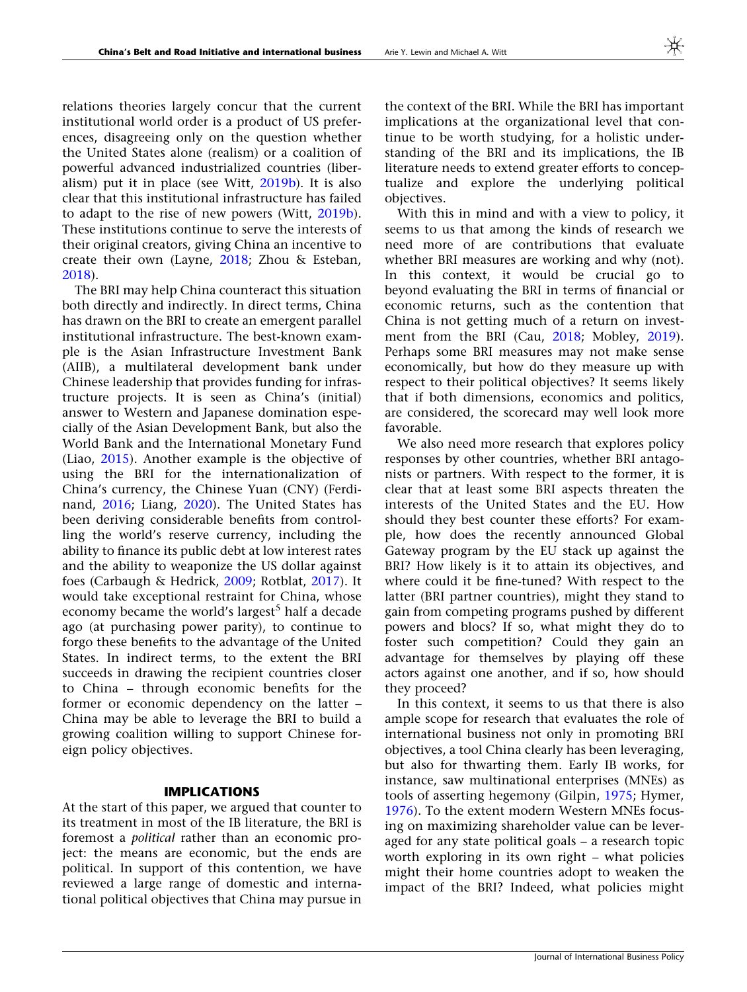relations theories largely concur that the current institutional world order is a product of US preferences, disagreeing only on the question whether the United States alone (realism) or a coalition of powerful advanced industrialized countries (liberalism) put it in place (see Witt, [2019b\)](#page-9-0). It is also clear that this institutional infrastructure has failed to adapt to the rise of new powers (Witt, [2019b\)](#page-9-0). These institutions continue to serve the interests of their original creators, giving China an incentive to create their own (Layne, [2018](#page-8-0); Zhou & Esteban, [2018\)](#page-9-0).

The BRI may help China counteract this situation both directly and indirectly. In direct terms, China has drawn on the BRI to create an emergent parallel institutional infrastructure. The best-known example is the Asian Infrastructure Investment Bank (AIIB), a multilateral development bank under Chinese leadership that provides funding for infrastructure projects. It is seen as China's (initial) answer to Western and Japanese domination especially of the Asian Development Bank, but also the World Bank and the International Monetary Fund (Liao, [2015](#page-8-0)). Another example is the objective of using the BRI for the internationalization of China's currency, the Chinese Yuan (CNY) (Ferdinand, [2016;](#page-8-0) Liang, [2020](#page-8-0)). The United States has been deriving considerable benefits from controlling the world's reserve currency, including the ability to finance its public debt at low interest rates and the ability to weaponize the US dollar against foes (Carbaugh & Hedrick, [2009](#page-8-0); Rotblat, [2017](#page-8-0)). It would take exceptional restraint for China, whose economy became the world's largest<sup>5</sup> half a decade ago (at purchasing power parity), to continue to forgo these benefits to the advantage of the United States. In indirect terms, to the extent the BRI succeeds in drawing the recipient countries closer to China – through economic benefits for the former or economic dependency on the latter – China may be able to leverage the BRI to build a growing coalition willing to support Chinese foreign policy objectives.

### IMPLICATIONS

At the start of this paper, we argued that counter to its treatment in most of the IB literature, the BRI is foremost a political rather than an economic project: the means are economic, but the ends are political. In support of this contention, we have reviewed a large range of domestic and international political objectives that China may pursue in the context of the BRI. While the BRI has important implications at the organizational level that continue to be worth studying, for a holistic understanding of the BRI and its implications, the IB literature needs to extend greater efforts to conceptualize and explore the underlying political objectives.

With this in mind and with a view to policy, it seems to us that among the kinds of research we need more of are contributions that evaluate whether BRI measures are working and why (not). In this context, it would be crucial go to beyond evaluating the BRI in terms of financial or economic returns, such as the contention that China is not getting much of a return on investment from the BRI (Cau, [2018;](#page-8-0) Mobley, [2019](#page-8-0)). Perhaps some BRI measures may not make sense economically, but how do they measure up with respect to their political objectives? It seems likely that if both dimensions, economics and politics, are considered, the scorecard may well look more favorable.

We also need more research that explores policy responses by other countries, whether BRI antagonists or partners. With respect to the former, it is clear that at least some BRI aspects threaten the interests of the United States and the EU. How should they best counter these efforts? For example, how does the recently announced Global Gateway program by the EU stack up against the BRI? How likely is it to attain its objectives, and where could it be fine-tuned? With respect to the latter (BRI partner countries), might they stand to gain from competing programs pushed by different powers and blocs? If so, what might they do to foster such competition? Could they gain an advantage for themselves by playing off these actors against one another, and if so, how should they proceed?

In this context, it seems to us that there is also ample scope for research that evaluates the role of international business not only in promoting BRI objectives, a tool China clearly has been leveraging, but also for thwarting them. Early IB works, for instance, saw multinational enterprises (MNEs) as tools of asserting hegemony (Gilpin, [1975;](#page-8-0) Hymer, [1976\)](#page-8-0). To the extent modern Western MNEs focusing on maximizing shareholder value can be leveraged for any state political goals – a research topic worth exploring in its own right – what policies might their home countries adopt to weaken the impact of the BRI? Indeed, what policies might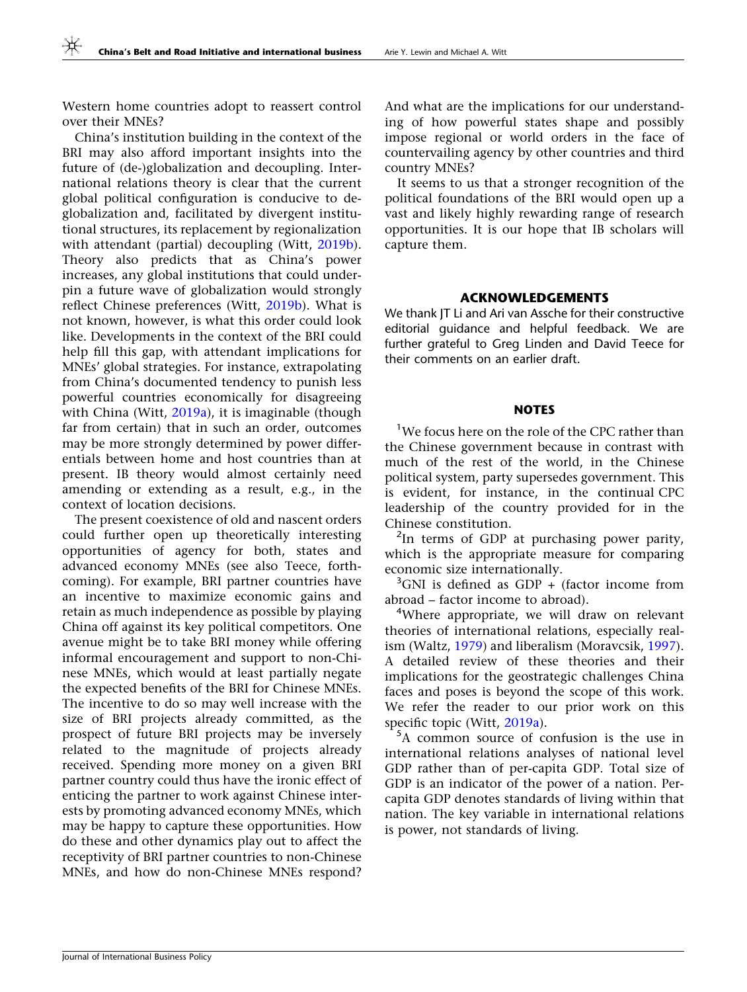Western home countries adopt to reassert control over their MNEs?

China's institution building in the context of the BRI may also afford important insights into the future of (de-)globalization and decoupling. International relations theory is clear that the current global political configuration is conducive to deglobalization and, facilitated by divergent institutional structures, its replacement by regionalization with attendant (partial) decoupling (Witt, [2019b\)](#page-9-0). Theory also predicts that as China's power increases, any global institutions that could underpin a future wave of globalization would strongly reflect Chinese preferences (Witt, [2019b\)](#page-9-0). What is not known, however, is what this order could look like. Developments in the context of the BRI could help fill this gap, with attendant implications for MNEs' global strategies. For instance, extrapolating from China's documented tendency to punish less powerful countries economically for disagreeing with China (Witt, [2019a](#page-9-0)), it is imaginable (though far from certain) that in such an order, outcomes may be more strongly determined by power differentials between home and host countries than at present. IB theory would almost certainly need amending or extending as a result, e.g., in the context of location decisions.

The present coexistence of old and nascent orders could further open up theoretically interesting opportunities of agency for both, states and advanced economy MNEs (see also Teece, forthcoming). For example, BRI partner countries have an incentive to maximize economic gains and retain as much independence as possible by playing China off against its key political competitors. One avenue might be to take BRI money while offering informal encouragement and support to non-Chinese MNEs, which would at least partially negate the expected benefits of the BRI for Chinese MNEs. The incentive to do so may well increase with the size of BRI projects already committed, as the prospect of future BRI projects may be inversely related to the magnitude of projects already received. Spending more money on a given BRI partner country could thus have the ironic effect of enticing the partner to work against Chinese interests by promoting advanced economy MNEs, which may be happy to capture these opportunities. How do these and other dynamics play out to affect the receptivity of BRI partner countries to non-Chinese MNEs, and how do non-Chinese MNEs respond?

And what are the implications for our understanding of how powerful states shape and possibly impose regional or world orders in the face of countervailing agency by other countries and third country MNEs?

It seems to us that a stronger recognition of the political foundations of the BRI would open up a vast and likely highly rewarding range of research opportunities. It is our hope that IB scholars will capture them.

## ACKNOWLEDGEMENTS

We thank JT Li and Ari van Assche for their constructive editorial guidance and helpful feedback. We are further grateful to Greg Linden and David Teece for their comments on an earlier draft.

### **NOTES**

<sup>1</sup>We focus here on the role of the CPC rather than the Chinese government because in contrast with much of the rest of the world, in the Chinese political system, party supersedes government. This is evident, for instance, in the continual CPC leadership of the country provided for in the Chinese constitution.

<sup>2</sup>In terms of GDP at purchasing power parity, which is the appropriate measure for comparing economic size internationally.

<sup>3</sup>GNI is defined as GDP + (factor income from abroad – factor income to abroad).

4 Where appropriate, we will draw on relevant theories of international relations, especially realism (Waltz, [1979](#page-9-0)) and liberalism (Moravcsik, [1997](#page-8-0)). A detailed review of these theories and their implications for the geostrategic challenges China faces and poses is beyond the scope of this work. We refer the reader to our prior work on this specific topic (Witt, [2019a](#page-9-0)).

5 A common source of confusion is the use in international relations analyses of national level GDP rather than of per-capita GDP. Total size of GDP is an indicator of the power of a nation. Percapita GDP denotes standards of living within that nation. The key variable in international relations is power, not standards of living.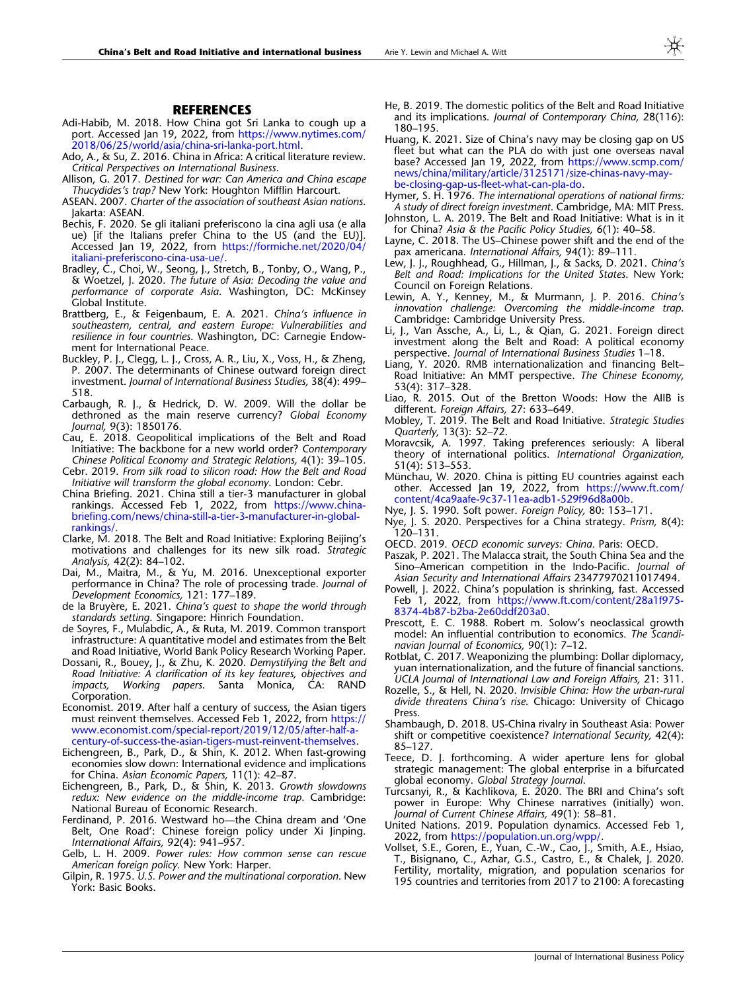#### **REFERENCES**

- <span id="page-8-0"></span>Adi-Habib, M. 2018. How China got Sri Lanka to cough up a port. Accessed Jan 19, 2022, from [https://www.nytimes.com/](https://www.nytimes.com/2018/06/25/world/asia/china-sri-lanka-port.html) [2018/06/25/world/asia/china-sri-lanka-port.html.](https://www.nytimes.com/2018/06/25/world/asia/china-sri-lanka-port.html)
- Ado, A., & Su, Z. 2016. China in Africa: A critical literature review. Critical Perspectives on International Business.
- Allison, G. 2017. Destined for war: Can America and China escape Thucydides's trap? New York: Houghton Mifflin Harcourt.
- ASEAN. 2007. Charter of the association of southeast Asian nations. Jakarta: ASEAN.
- Bechis, F. 2020. Se gli italiani preferiscono la cina agli usa (e alla ue) [if the Italians prefer China to the US (and the EU)]. Accessed Jan 19, 2022, from [https://formiche.net/2020/04/](https://formiche.net/2020/04/italiani-preferiscono-cina-usa-ue/) [italiani-preferiscono-cina-usa-ue/.](https://formiche.net/2020/04/italiani-preferiscono-cina-usa-ue/)
- Bradley, C., Choi, W., Seong, J., Stretch, B., Tonby, O., Wang, P., & Woetzel, J. 2020. The future of Asia: Decoding the value and performance of corporate Asia. Washington, DC: McKinsey Global Institute.
- Brattberg, E., & Feigenbaum, E. A. 2021. China's influence in southeastern, central, and eastern Europe: Vulnerabilities and resilience in four countries. Washington, DC: Carnegie Endowment for International Peace.
- Buckley, P. J., Clegg, L. J., Cross, A. R., Liu, X., Voss, H., & Zheng, P. 2007. The determinants of Chinese outward foreign direct investment. Journal of International Business Studies, 38(4): 499– 518.
- Carbaugh, R. J., & Hedrick, D. W. 2009. Will the dollar be dethroned as the main reserve currency? Global Economy Journal, 9(3): 1850176.
- Cau, E. 2018. Geopolitical implications of the Belt and Road Initiative: The backbone for a new world order? Contemporary Chinese Political Economy and Strategic Relations, 4(1): 39–105.
- Cebr. 2019. From silk road to silicon road: How the Belt and Road Initiative will transform the global economy. London: Cebr.
- China Briefing. 2021. China still a tier-3 manufacturer in global rankings. Accessed Feb 1, 2022, from [https://www.china](https://www.china-briefing.com/news/china-still-a-tier-3-manufacturer-in-global-rankings/)[briefing.com/news/china-still-a-tier-3-manufacturer-in-global](https://www.china-briefing.com/news/china-still-a-tier-3-manufacturer-in-global-rankings/)[rankings/.](https://www.china-briefing.com/news/china-still-a-tier-3-manufacturer-in-global-rankings/)
- Clarke, M. 2018. The Belt and Road Initiative: Exploring Beijing's motivations and challenges for its new silk road. Strategic Analysis, 42(2): 84–102.
- Dai, M., Maitra, M., & Yu, M. 2016. Unexceptional exporter performance in China? The role of processing trade. Journal of Development Economics, 121: 177–189.
- de la Bruyère, E. 2021. China's quest to shape the world through standards setting. Singapore: Hinrich Foundation.
- de Soyres, F., Mulabdic, A., & Ruta, M. 2019. Common transport infrastructure: A quantitative model and estimates from the Belt and Road Initiative, World Bank Policy Research Working Paper.
- Dossani, R., Bouey, J., & Zhu, K. 2020. Demystifying the Belt and Road Initiative: A clarification of its key features, objectives and impacts, Working papers. Santa Monica, CA: RAND Corporation.
- Economist. 2019. After half a century of success, the Asian tigers must reinvent themselves. Accessed Feb 1, 2022, from [https://](https://www.economist.com/special-report/2019/12/05/after-half-a-century-of-success-the-asian-tigers-must-reinvent-themselves) [www.economist.com/special-report/2019/12/05/after-half-a](https://www.economist.com/special-report/2019/12/05/after-half-a-century-of-success-the-asian-tigers-must-reinvent-themselves)[century-of-success-the-asian-tigers-must-reinvent-themselves](https://www.economist.com/special-report/2019/12/05/after-half-a-century-of-success-the-asian-tigers-must-reinvent-themselves).
- Eichengreen, B., Park, D., & Shin, K. 2012. When fast-growing economies slow down: International evidence and implications for China. Asian Economic Papers, 11(1): 42–87.
- Eichengreen, B., Park, D., & Shin, K. 2013. Growth slowdowns redux: New evidence on the middle-income trap. Cambridge: National Bureau of Economic Research.
- Ferdinand, P. 2016. Westward ho—the China dream and 'One Belt, One Road': Chinese foreign policy under Xi Jinping. International Affairs, 92(4): 941–957.
- Gelb, L. H. 2009. Power rules: How common sense can rescue American foreign policy. New York: Harper.
- Gilpin, R. 1975. U.S. Power and the multinational corporation. New York: Basic Books.
- He, B. 2019. The domestic politics of the Belt and Road Initiative and its implications. Journal of Contemporary China, 28(116): 180–195.
- Huang, K. 2021. Size of China's navy may be closing gap on US fleet but what can the PLA do with just one overseas naval base? Accessed Jan 19, 2022, from [https://www.scmp.com/](https://www.scmp.com/news/china/military/article/3125171/size-chinas-navy-may-be-closing-gap-us-fleet-what-can-pla-do) [news/china/military/article/3125171/size-chinas-navy-may](https://www.scmp.com/news/china/military/article/3125171/size-chinas-navy-may-be-closing-gap-us-fleet-what-can-pla-do)[be-closing-gap-us-fleet-what-can-pla-do](https://www.scmp.com/news/china/military/article/3125171/size-chinas-navy-may-be-closing-gap-us-fleet-what-can-pla-do).
- Hymer, S. H. 1976. The international operations of national firms: A study of direct foreign investment. Cambridge, MA: MIT Press.
- Johnston, L. A. 2019. The Belt and Road Initiative: What is in it for China? Asia & the Pacific Policy Studies, 6(1): 40–58.
- Layne, C. 2018. The US–Chinese power shift and the end of the pax americana. International Affairs, 94(1): 89–111.
- Lew, J. J., Roughhead, G., Hillman, J., & Sacks, D. 2021. China's Belt and Road: Implications for the United States. New York: Council on Foreign Relations.
- Lewin, A. Y., Kenney, M., & Murmann, J. P. 2016. China's innovation challenge: Overcoming the middle-income trap. Cambridge: Cambridge University Press.
- Li, J., Van Assche, A., Li, L., & Qian, G. 2021. Foreign direct investment along the Belt and Road: A political economy perspective. Journal of International Business Studies 1-18.
- Liang, Y. 2020. RMB internationalization and financing Belt– Road Initiative: An MMT perspective. The Chinese Economy, 53(4): 317–328.
- Liao, R. 2015. Out of the Bretton Woods: How the AIIB is different. Foreign Affairs, 27: 633–649.
- Mobley, T. 2019. The Belt and Road Initiative. Strategic Studies Quarterly, 13(3): 52–72.
- Moravcsik, A. 1997. Taking preferences seriously: A liberal theory of international politics. International Organization, 51(4): 513–553.
- Münchau, W. 2020. China is pitting EU countries against each other. Accessed Jan 19, 2022, from [https://www.ft.com/](https://www.ft.com/content/4ca9aafe-9c37-11ea-adb1-529f96d8a00b) [content/4ca9aafe-9c37-11ea-adb1-529f96d8a00b.](https://www.ft.com/content/4ca9aafe-9c37-11ea-adb1-529f96d8a00b)
- Nye, J. S. 1990. Soft power. Foreign Policy, 80: 153–171.
- Nye, J. S. 2020. Perspectives for a China strategy. Prism, 8(4):  $120 - 131.$
- OECD. 2019. OECD economic surveys: China. Paris: OECD.
- Paszak, P. 2021. The Malacca strait, the South China Sea and the Sino–American competition in the Indo-Pacific. Journal of Asian Security and International Affairs 23477970211017494.
- Powell, J. 2022. China's population is shrinking, fast. Accessed Feb 1, 2022, from [https://www.ft.com/content/28a1f975-](https://www.ft.com/content/28a1f975-8374-4b87-b2ba-2e60ddf203a0) [8374-4b87-b2ba-2e60ddf203a0](https://www.ft.com/content/28a1f975-8374-4b87-b2ba-2e60ddf203a0).
- Prescott, E. C. 1988. Robert m. Solow's neoclassical growth model: An influential contribution to economics. The Scandinavian Journal of Economics, 90(1): 7–12.
- Rotblat, C. 2017. Weaponizing the plumbing: Dollar diplomacy, yuan internationalization, and the future of financial sanctions. UCLA Journal of International Law and Foreign Affairs, 21: 311.
- Rozelle, S., & Hell, N. 2020. Invisible China: How the urban-rural divide threatens China's rise. Chicago: University of Chicago Press.
- Shambaugh, D. 2018. US-China rivalry in Southeast Asia: Power shift or competitive coexistence? International Security, 42(4): 85–127.
- Teece, D. J. forthcoming. A wider aperture lens for global strategic management: The global enterprise in a bifurcated global economy. Global Strategy Journal.
- Turcsanyi, R., & Kachlikova, E. 2020. The BRI and China's soft power in Europe: Why Chinese narratives (initially) won. Journal of Current Chinese Affairs, 49(1): 58–81.
- United Nations. 2019. Population dynamics. Accessed Feb 1, 2022, from <https://population.un.org/wpp/>.
- Vollset, S.E., Goren, E., Yuan, C.-W., Cao, J., Smith, A.E., Hsiao, T., Bisignano, C., Azhar, G.S., Castro, E., & Chalek, J. 2020. Fertility, mortality, migration, and population scenarios for 195 countries and territories from 2017 to 2100: A forecasting